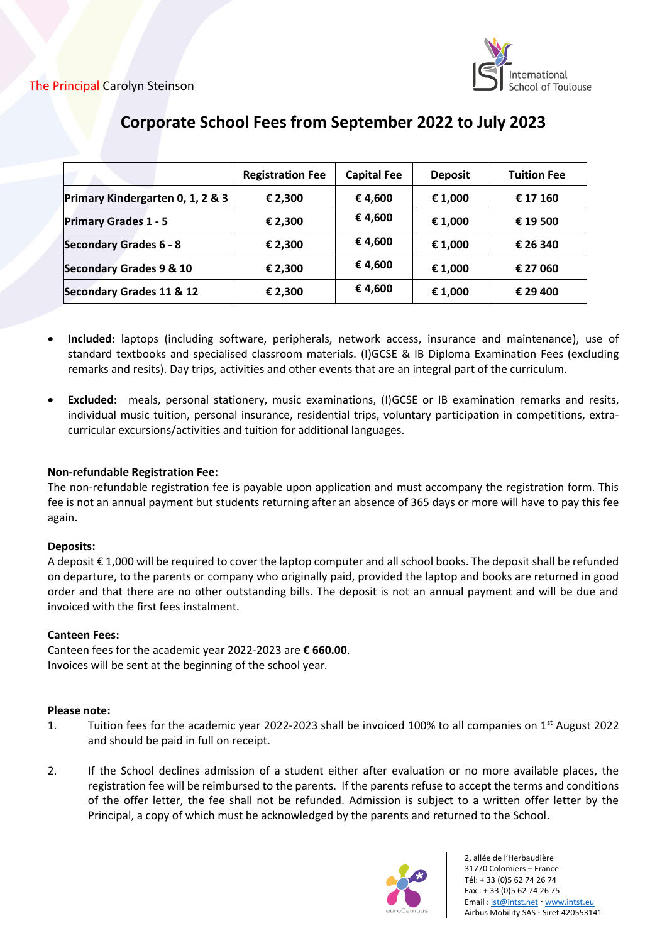

|                                  | <b>Registration Fee</b> | <b>Capital Fee</b> | <b>Deposit</b> | <b>Tuition Fee</b> |
|----------------------------------|-------------------------|--------------------|----------------|--------------------|
| Primary Kindergarten 0, 1, 2 & 3 | € 2,300                 | €4,600             | € 1,000        | € 17 160           |
| <b>Primary Grades 1 - 5</b>      | € 2,300                 | € 4,600            | € 1,000        | € 19 500           |
| <b>Secondary Grades 6 - 8</b>    | € 2,300                 | €4,600             | € 1,000        | € 26 340           |
| Secondary Grades 9 & 10          | € 2,300                 | € 4,600            | € 1,000        | € 27 060           |
| Secondary Grades 11 & 12         | € 2,300                 | €4,600             | € 1,000        | € 29 400           |

# **Corporate School Fees from September 2022 to July 2023**

- **Included:** laptops (including software, peripherals, network access, insurance and maintenance), use of standard textbooks and specialised classroom materials. (I)GCSE & IB Diploma Examination Fees (excluding remarks and resits). Day trips, activities and other events that are an integral part of the curriculum.
- **Excluded:** meals, personal stationery, music examinations, (I)GCSE or IB examination remarks and resits, individual music tuition, personal insurance, residential trips, voluntary participation in competitions, extracurricular excursions/activities and tuition for additional languages.

# **Non-refundable Registration Fee:**

The non-refundable registration fee is payable upon application and must accompany the registration form. This fee is not an annual payment but students returning after an absence of 365 days or more will have to pay this fee again.

# **Deposits:**

A deposit € 1,000 will be required to cover the laptop computer and all school books. The deposit shall be refunded on departure, to the parents or company who originally paid, provided the laptop and books are returned in good order and that there are no other outstanding bills. The deposit is not an annual payment and will be due and invoiced with the first fees instalment*.*

# **Canteen Fees:**

Canteen fees for the academic year 2022-2023 are **€ 660.00**. Invoices will be sent at the beginning of the school year*.*

## **Please note:**

- 1. Tuition fees for the academic year 2022-2023 shall be invoiced 100% to all companies on  $1<sup>st</sup>$  August 2022 and should be paid in full on receipt.
- 2. If the School declines admission of a student either after evaluation or no more available places, the registration fee will be reimbursed to the parents. If the parents refuse to accept the terms and conditions of the offer letter, the fee shall not be refunded. Admission is subject to a written offer letter by the Principal, a copy of which must be acknowledged by the parents and returned to the School.